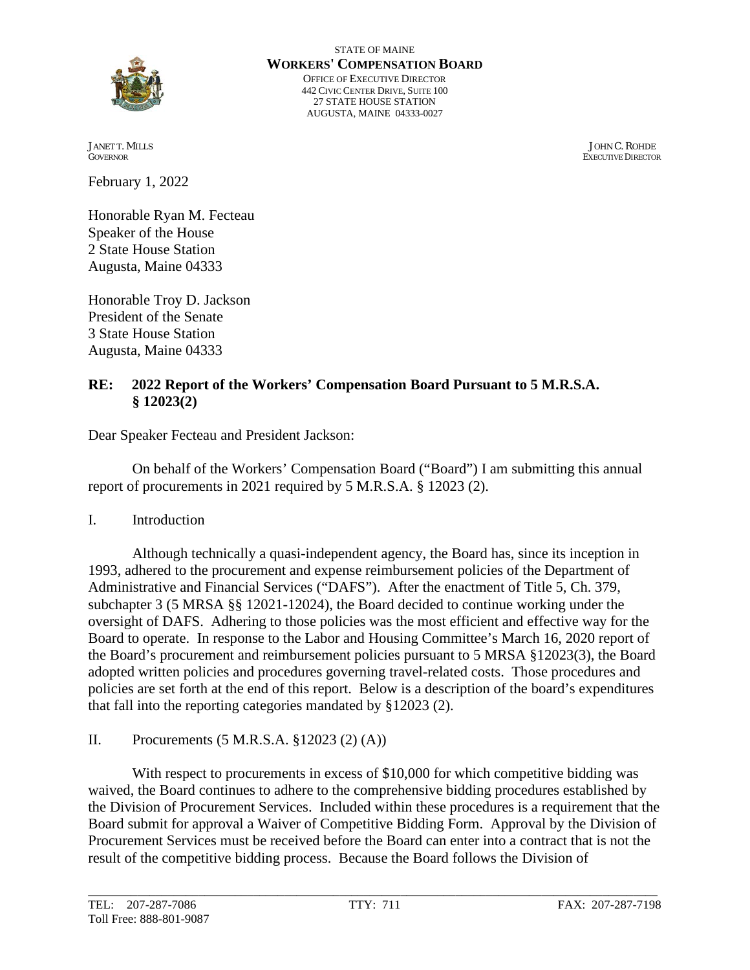

STATE OF MAINE **WORKERS' COMPENSATION BOARD** OFFICE OF EXECUTIVE DIRECTOR 442 CIVIC CENTER DRIVE, SUITE 100 27 STATE HOUSE STATION AUGUSTA, MAINE 04333-0027

February 1, 2022

Honorable Ryan M. Fecteau Speaker of the House 2 State House Station Augusta, Maine 04333

Honorable Troy D. Jackson President of the Senate 3 State House Station Augusta, Maine 04333

#### **RE: 2022 Report of the Workers' Compensation Board Pursuant to 5 M.R.S.A. § 12023(2)**

Dear Speaker Fecteau and President Jackson:

On behalf of the Workers' Compensation Board ("Board") I am submitting this annual report of procurements in 2021 required by 5 M.R.S.A. § 12023 (2).

I. Introduction

Although technically a quasi-independent agency, the Board has, since its inception in 1993, adhered to the procurement and expense reimbursement policies of the Department of Administrative and Financial Services ("DAFS"). After the enactment of Title 5, Ch. 379, subchapter 3 (5 MRSA §§ 12021-12024), the Board decided to continue working under the oversight of DAFS. Adhering to those policies was the most efficient and effective way for the Board to operate. In response to the Labor and Housing Committee's March 16, 2020 report of the Board's procurement and reimbursement policies pursuant to 5 MRSA §12023(3), the Board adopted written policies and procedures governing travel-related costs. Those procedures and policies are set forth at the end of this report. Below is a description of the board's expenditures that fall into the reporting categories mandated by §12023 (2).

II. Procurements (5 M.R.S.A. §12023 (2) (A))

With respect to procurements in excess of \$10,000 for which competitive bidding was waived, the Board continues to adhere to the comprehensive bidding procedures established by the Division of Procurement Services. Included within these procedures is a requirement that the Board submit for approval a Waiver of Competitive Bidding Form. Approval by the Division of Procurement Services must be received before the Board can enter into a contract that is not the result of the competitive bidding process. Because the Board follows the Division of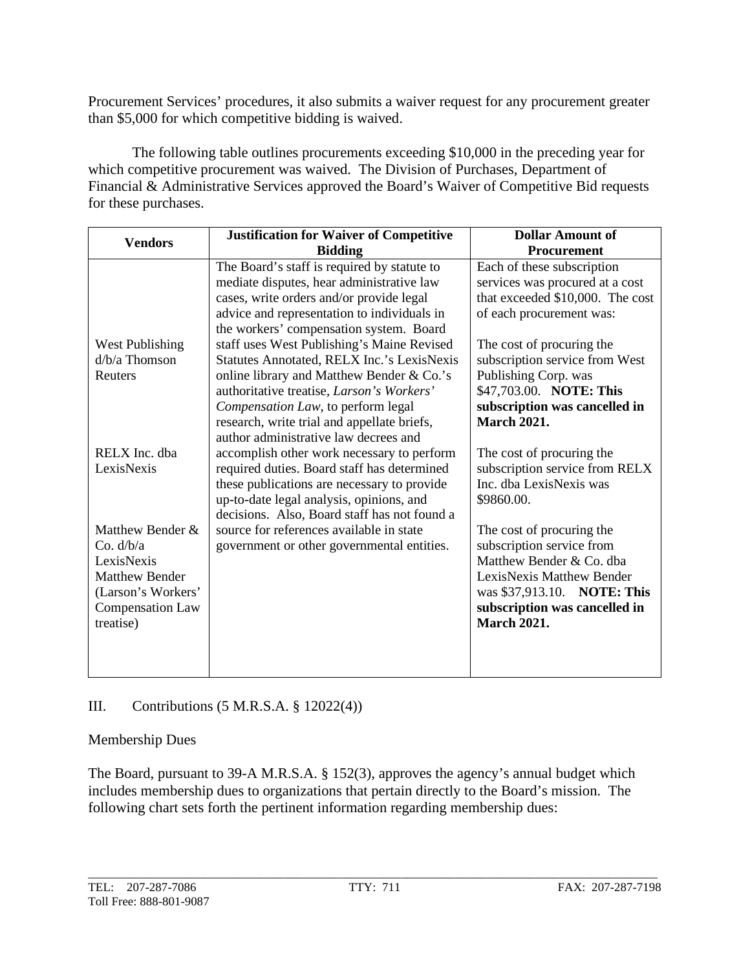Procurement Services' procedures, it also submits a waiver request for any procurement greater than \$5,000 for which competitive bidding is waived.

The following table outlines procurements exceeding \$10,000 in the preceding year for which competitive procurement was waived. The Division of Purchases, Department of Financial & Administrative Services approved the Board's Waiver of Competitive Bid requests for these purchases.

| <b>Vendors</b>          | <b>Justification for Waiver of Competitive</b>    | <b>Dollar Amount of</b>          |
|-------------------------|---------------------------------------------------|----------------------------------|
|                         | <b>Bidding</b>                                    | <b>Procurement</b>               |
|                         | The Board's staff is required by statute to       | Each of these subscription       |
|                         | mediate disputes, hear administrative law         | services was procured at a cost  |
|                         | cases, write orders and/or provide legal          | that exceeded \$10,000. The cost |
|                         | advice and representation to individuals in       | of each procurement was:         |
|                         | the workers' compensation system. Board           |                                  |
| <b>West Publishing</b>  | staff uses West Publishing's Maine Revised        | The cost of procuring the        |
| $d/b/a$ Thomson         | <b>Statutes Annotated, RELX Inc.'s LexisNexis</b> | subscription service from West   |
| Reuters                 | online library and Matthew Bender & Co.'s         | Publishing Corp. was             |
|                         | authoritative treatise, Larson's Workers'         | \$47,703.00. NOTE: This          |
|                         | Compensation Law, to perform legal                | subscription was cancelled in    |
|                         | research, write trial and appellate briefs,       | <b>March 2021.</b>               |
|                         | author administrative law decrees and             |                                  |
| RELX Inc. dba           | accomplish other work necessary to perform        | The cost of procuring the        |
| LexisNexis              | required duties. Board staff has determined       | subscription service from RELX   |
|                         | these publications are necessary to provide       | Inc. dba LexisNexis was          |
|                         | up-to-date legal analysis, opinions, and          | \$9860.00.                       |
|                         | decisions. Also, Board staff has not found a      |                                  |
| Matthew Bender &        | source for references available in state          | The cost of procuring the        |
| Co. $d/b/a$             | government or other governmental entities.        | subscription service from        |
| LexisNexis              |                                                   | Matthew Bender & Co. dba         |
| <b>Matthew Bender</b>   |                                                   | LexisNexis Matthew Bender        |
| (Larson's Workers'      |                                                   | was \$37,913.10. NOTE: This      |
| <b>Compensation Law</b> |                                                   | subscription was cancelled in    |
| treatise)               |                                                   | <b>March 2021.</b>               |
|                         |                                                   |                                  |
|                         |                                                   |                                  |
|                         |                                                   |                                  |

# III. Contributions (5 M.R.S.A. § 12022(4))

#### Membership Dues

The Board, pursuant to 39-A M.R.S.A. § 152(3), approves the agency's annual budget which includes membership dues to organizations that pertain directly to the Board's mission. The following chart sets forth the pertinent information regarding membership dues: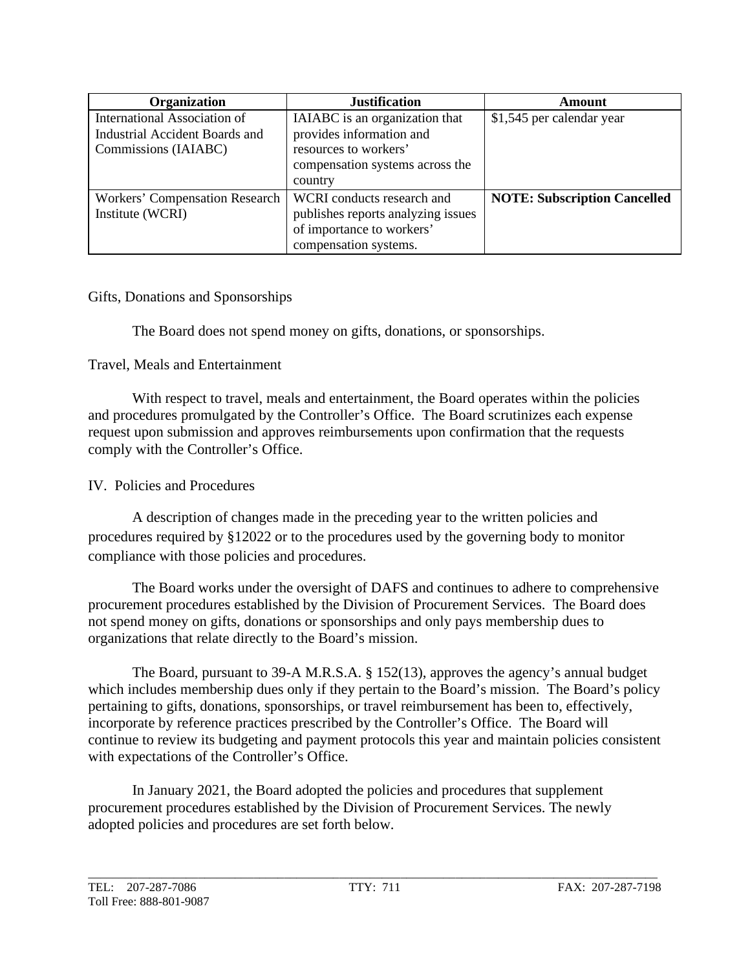| Organization                                                                           | <b>Justification</b>                                                                                                              | Amount                              |
|----------------------------------------------------------------------------------------|-----------------------------------------------------------------------------------------------------------------------------------|-------------------------------------|
| International Association of<br>Industrial Accident Boards and<br>Commissions (IAIABC) | IAIABC is an organization that<br>provides information and<br>resources to workers'<br>compensation systems across the<br>country | \$1,545 per calendar year           |
| <b>Workers' Compensation Research</b><br>Institute (WCRI)                              | WCRI conducts research and<br>publishes reports analyzing issues<br>of importance to workers'<br>compensation systems.            | <b>NOTE: Subscription Cancelled</b> |

#### Gifts, Donations and Sponsorships

The Board does not spend money on gifts, donations, or sponsorships.

#### Travel, Meals and Entertainment

With respect to travel, meals and entertainment, the Board operates within the policies and procedures promulgated by the Controller's Office. The Board scrutinizes each expense request upon submission and approves reimbursements upon confirmation that the requests comply with the Controller's Office.

### IV. Policies and Procedures

A description of changes made in the preceding year to the written policies and procedures required by §12022 or to the procedures used by the governing body to monitor compliance with those policies and procedures.

The Board works under the oversight of DAFS and continues to adhere to comprehensive procurement procedures established by the Division of Procurement Services. The Board does not spend money on gifts, donations or sponsorships and only pays membership dues to organizations that relate directly to the Board's mission.

The Board, pursuant to 39-A M.R.S.A. § 152(13), approves the agency's annual budget which includes membership dues only if they pertain to the Board's mission. The Board's policy pertaining to gifts, donations, sponsorships, or travel reimbursement has been to, effectively, incorporate by reference practices prescribed by the Controller's Office. The Board will continue to review its budgeting and payment protocols this year and maintain policies consistent with expectations of the Controller's Office.

In January 2021, the Board adopted the policies and procedures that supplement procurement procedures established by the Division of Procurement Services. The newly adopted policies and procedures are set forth below.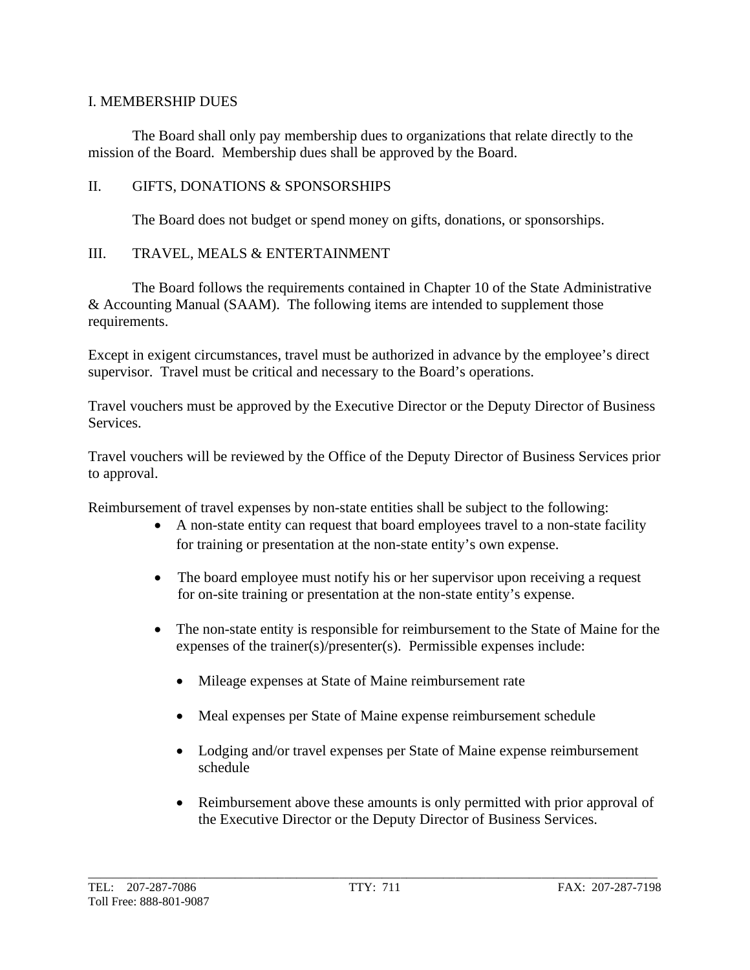## I. MEMBERSHIP DUES

The Board shall only pay membership dues to organizations that relate directly to the mission of the Board. Membership dues shall be approved by the Board.

#### II. GIFTS, DONATIONS & SPONSORSHIPS

The Board does not budget or spend money on gifts, donations, or sponsorships.

## III. TRAVEL, MEALS & ENTERTAINMENT

The Board follows the requirements contained in Chapter 10 of the State Administrative & Accounting Manual (SAAM). The following items are intended to supplement those requirements.

Except in exigent circumstances, travel must be authorized in advance by the employee's direct supervisor. Travel must be critical and necessary to the Board's operations.

Travel vouchers must be approved by the Executive Director or the Deputy Director of Business Services.

Travel vouchers will be reviewed by the Office of the Deputy Director of Business Services prior to approval.

Reimbursement of travel expenses by non-state entities shall be subject to the following:

- A non-state entity can request that board employees travel to a non-state facility for training or presentation at the non-state entity's own expense.
- The board employee must notify his or her supervisor upon receiving a request for on-site training or presentation at the non-state entity's expense.
- The non-state entity is responsible for reimbursement to the State of Maine for the expenses of the trainer(s)/presenter(s). Permissible expenses include:
	- Mileage expenses at State of Maine reimbursement rate
	- Meal expenses per State of Maine expense reimbursement schedule
	- Lodging and/or travel expenses per State of Maine expense reimbursement schedule
	- Reimbursement above these amounts is only permitted with prior approval of the Executive Director or the Deputy Director of Business Services.